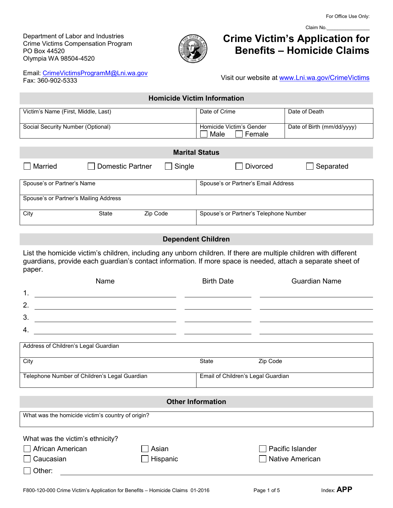Department of Labor and Industries Crime Victims Compensation Program PO Box 44520 Olympia WA 98504-4520



# **Crime Victim's Application for Benefits – Homicide Claims**

Claim No.

Email: [CrimeVictimsProgramM@Lni.wa.gov](mailto:CrimeVictimsProgramM@Lni.wa.gov) Fax: 360-902-5333

Visit our website at [www.Lni.wa.gov/CrimeVictims](http://www.lni.wa.gov/CrimeVictims)

| <b>Homicide Victim Information</b>  |                                            |                            |  |
|-------------------------------------|--------------------------------------------|----------------------------|--|
| Victim's Name (First, Middle, Last) | Date of Crime                              | Date of Death              |  |
| Social Security Number (Optional)   | Homicide Victim's Gender<br>Male<br>Female | Date of Birth (mm/dd/yyyy) |  |

| <b>Marital Status</b>                 |                         |          |                                        |           |
|---------------------------------------|-------------------------|----------|----------------------------------------|-----------|
| Married                               | <b>Domestic Partner</b> | Single   | <b>Divorced</b>                        | Separated |
| Spouse's or Partner's Name            |                         |          | Spouse's or Partner's Email Address    |           |
| Spouse's or Partner's Mailing Address |                         |          |                                        |           |
| City                                  | State                   | Zip Code | Spouse's or Partner's Telephone Number |           |

## **Dependent Children**

List the homicide victim's children, including any unborn children. If there are multiple children with different guardians, provide each guardian's contact information. If more space is needed, attach a separate sheet of paper.

| Name                                          | <b>Birth Date</b>                  | <b>Guardian Name</b> |
|-----------------------------------------------|------------------------------------|----------------------|
| 1.                                            |                                    |                      |
| 2.                                            |                                    |                      |
| 3.                                            |                                    |                      |
| 4.                                            |                                    |                      |
| Address of Children's Legal Guardian          |                                    |                      |
| City                                          | State                              | Zip Code             |
| Telephone Number of Children's Legal Guardian | Email of Children's Legal Guardian |                      |

# **Other Information**

What was the homicide victim's country of origin?

| What was the victim's ethnicity? |                 |                         |
|----------------------------------|-----------------|-------------------------|
| $\Box$ African American          | $\Box$ Asian    | $\Box$ Pacific Islander |
| $\Box$ Caucasian                 | $\Box$ Hispanic | □ Native American       |
| $\Box$ Other:                    |                 |                         |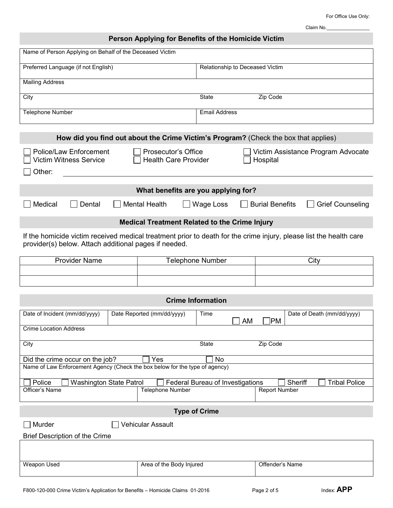For Office Use Only:

Claim No.

| Name of Person Applying on Behalf of the Deceased Victim                                                                                                                    |                                                           |                                  |                                 |                                    |
|-----------------------------------------------------------------------------------------------------------------------------------------------------------------------------|-----------------------------------------------------------|----------------------------------|---------------------------------|------------------------------------|
| Preferred Language (if not English)                                                                                                                                         |                                                           | Relationship to Deceased Victim  |                                 |                                    |
| <b>Mailing Address</b>                                                                                                                                                      |                                                           |                                  |                                 |                                    |
| City                                                                                                                                                                        |                                                           | <b>State</b>                     | Zip Code                        |                                    |
| Telephone Number                                                                                                                                                            |                                                           | <b>Email Address</b>             |                                 |                                    |
|                                                                                                                                                                             |                                                           |                                  |                                 |                                    |
| How did you find out about the Crime Victim's Program? (Check the box that applies)                                                                                         |                                                           |                                  |                                 |                                    |
| Police/Law Enforcement<br><b>Victim Witness Service</b>                                                                                                                     | <b>Prosecutor's Office</b><br><b>Health Care Provider</b> |                                  | Hospital                        | Victim Assistance Program Advocate |
| Other:                                                                                                                                                                      |                                                           |                                  |                                 |                                    |
|                                                                                                                                                                             | What benefits are you applying for?                       |                                  |                                 |                                    |
| Medical<br>Dental                                                                                                                                                           | <b>Mental Health</b>                                      | Wage Loss                        | <b>Burial Benefits</b>          | <b>Grief Counseling</b>            |
|                                                                                                                                                                             | <b>Medical Treatment Related to the Crime Injury</b>      |                                  |                                 |                                    |
| If the homicide victim received medical treatment prior to death for the crime injury, please list the health care<br>provider(s) below. Attach additional pages if needed. |                                                           |                                  |                                 |                                    |
| <b>Provider Name</b>                                                                                                                                                        |                                                           | <b>Telephone Number</b>          |                                 | City                               |
|                                                                                                                                                                             |                                                           |                                  |                                 |                                    |
|                                                                                                                                                                             |                                                           |                                  |                                 |                                    |
|                                                                                                                                                                             |                                                           | <b>Crime Information</b>         |                                 |                                    |
| Date of Incident (mm/dd/yyyy)                                                                                                                                               | Date Reported (mm/dd/yyyy)                                | Time<br><b>AM</b>                | PM                              | Date of Death (mm/dd/yyyy)         |
| <b>Crime Location Address</b>                                                                                                                                               |                                                           |                                  |                                 |                                    |
| City                                                                                                                                                                        |                                                           | State                            | Zip Code                        |                                    |
| Did the crime occur on the job?<br>Yes<br>No                                                                                                                                |                                                           |                                  |                                 |                                    |
| Name of Law Enforcement Agency (Check the box below for the type of agency)                                                                                                 |                                                           |                                  |                                 |                                    |
| Police<br><b>Washington State Patrol</b><br>Officer's Name                                                                                                                  | Telephone Number                                          | Federal Bureau of Investigations | Sheriff<br><b>Report Number</b> | <b>Tribal Police</b>               |
| <b>Type of Crime</b>                                                                                                                                                        |                                                           |                                  |                                 |                                    |
| Murder<br><b>Vehicular Assault</b>                                                                                                                                          |                                                           |                                  |                                 |                                    |
| Brief Description of the Crime                                                                                                                                              |                                                           |                                  |                                 |                                    |
|                                                                                                                                                                             |                                                           |                                  |                                 |                                    |
| Weapon Used                                                                                                                                                                 | Area of the Body Injured                                  |                                  | Offender's Name                 |                                    |
|                                                                                                                                                                             |                                                           |                                  |                                 | חה                                 |

**Person Applying for Benefits of the Homicide Victim**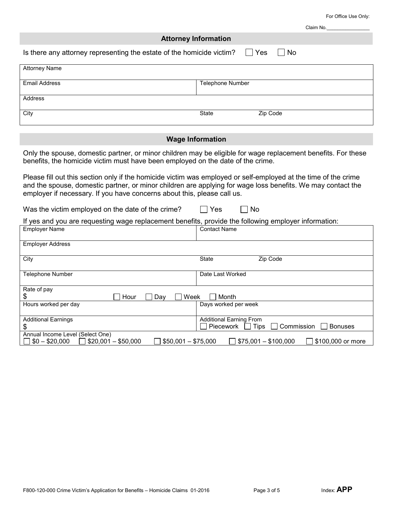For Office Use Only:

Claim No.

|                                                                                                                                                                                                                                                                                                           | <b>Attorney Information</b> |          |  |  |
|-----------------------------------------------------------------------------------------------------------------------------------------------------------------------------------------------------------------------------------------------------------------------------------------------------------|-----------------------------|----------|--|--|
| Is there any attorney representing the estate of the homicide victim?                                                                                                                                                                                                                                     | $\Box$ Yes                  | No       |  |  |
| <b>Attorney Name</b>                                                                                                                                                                                                                                                                                      |                             |          |  |  |
| <b>Email Address</b>                                                                                                                                                                                                                                                                                      | Telephone Number            |          |  |  |
| Address                                                                                                                                                                                                                                                                                                   |                             |          |  |  |
| City                                                                                                                                                                                                                                                                                                      | <b>State</b>                | Zip Code |  |  |
|                                                                                                                                                                                                                                                                                                           | <b>Wage Information</b>     |          |  |  |
| Only the spouse, domestic partner, or minor children may be eligible for wage replacement benefits. For these<br>benefits, the homicide victim must have been employed on the date of the crime.                                                                                                          |                             |          |  |  |
| Please fill out this section only if the homicide victim was employed or self-employed at the time of the crime<br>and the spouse, domestic partner, or minor children are applying for wage loss benefits. We may contact the<br>employer if necessary. If you have concerns about this, please call us. |                             |          |  |  |
| Was the victim employed on the date of the crime?                                                                                                                                                                                                                                                         | Yes<br><b>No</b>            |          |  |  |
| If yes and you are requesting wage replacement benefits, provide the following employer information:<br><b>Employer Name</b>                                                                                                                                                                              | <b>Contact Name</b>         |          |  |  |
| <b>Employer Address</b>                                                                                                                                                                                                                                                                                   |                             |          |  |  |
| City                                                                                                                                                                                                                                                                                                      | State                       | Zip Code |  |  |
| <b>Telephone Number</b>                                                                                                                                                                                                                                                                                   | Date Last Worked            |          |  |  |

Days worked per week

Additional Earning From<br>
D Piecework D Tips

 $\mathbf{I}$ 

 $\Box$  \$50,001 – \$75,000  $\Box$  \$75,001 – \$100,000  $\Box$  \$100,000 or more

 $\frac{\$}{\$}$  Hour  $\Box$  Day  $\Box$  Week  $\Box$  Month Hours worked per day

Rate of pay

\$

Additional Earnings

Annual Income Level (Select One)<br> $\Box$  \$0 - \$20,000  $\Box$  \$20,001 - \$50,000

 $\Box$  Tips  $\Box$  Commission  $\Box$  Bonuses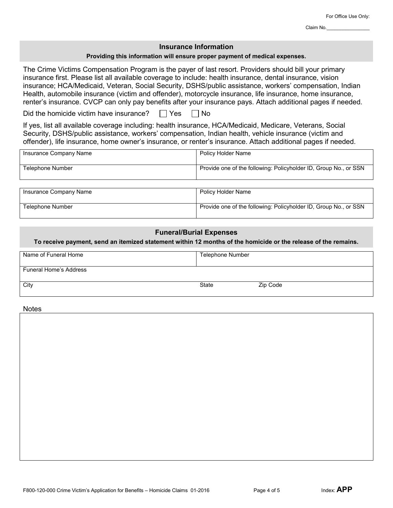## **Insurance Information**

#### **Providing this information will ensure proper payment of medical expenses.**

The Crime Victims Compensation Program is the payer of last resort. Providers should bill your primary insurance first. Please list all available coverage to include: health insurance, dental insurance, vision insurance; HCA/Medicaid, Veteran, Social Security, DSHS/public assistance, workers' compensation, Indian Health, automobile insurance (victim and offender), motorcycle insurance, life insurance, home insurance, renter's insurance. CVCP can only pay benefits after your insurance pays. Attach additional pages if needed.

Did the homicide victim have insurance?  $\Box$  Yes  $\Box$  No

If yes, list all available coverage including: health insurance, HCA/Medicaid, Medicare, Veterans, Social Security, DSHS/public assistance, workers' compensation, Indian health, vehicle insurance (victim and offender), life insurance, home owner's insurance, or renter's insurance. Attach additional pages if needed.

| Insurance Company Name | Policy Holder Name                                               |
|------------------------|------------------------------------------------------------------|
| Telephone Number       | Provide one of the following: Policyholder ID, Group No., or SSN |
| Insurance Company Name | Policy Holder Name                                               |
| Telephone Number       | Provide one of the following: Policyholder ID, Group No., or SSN |

## **Funeral/Burial Expenses**

**To receive payment, send an itemized statement within 12 months of the homicide or the release of the remains.**

| Name of Funeral Home          | <b>Telephone Number</b> |          |
|-------------------------------|-------------------------|----------|
| <b>Funeral Home's Address</b> |                         |          |
| City                          | <b>State</b>            | Zip Code |

Notes